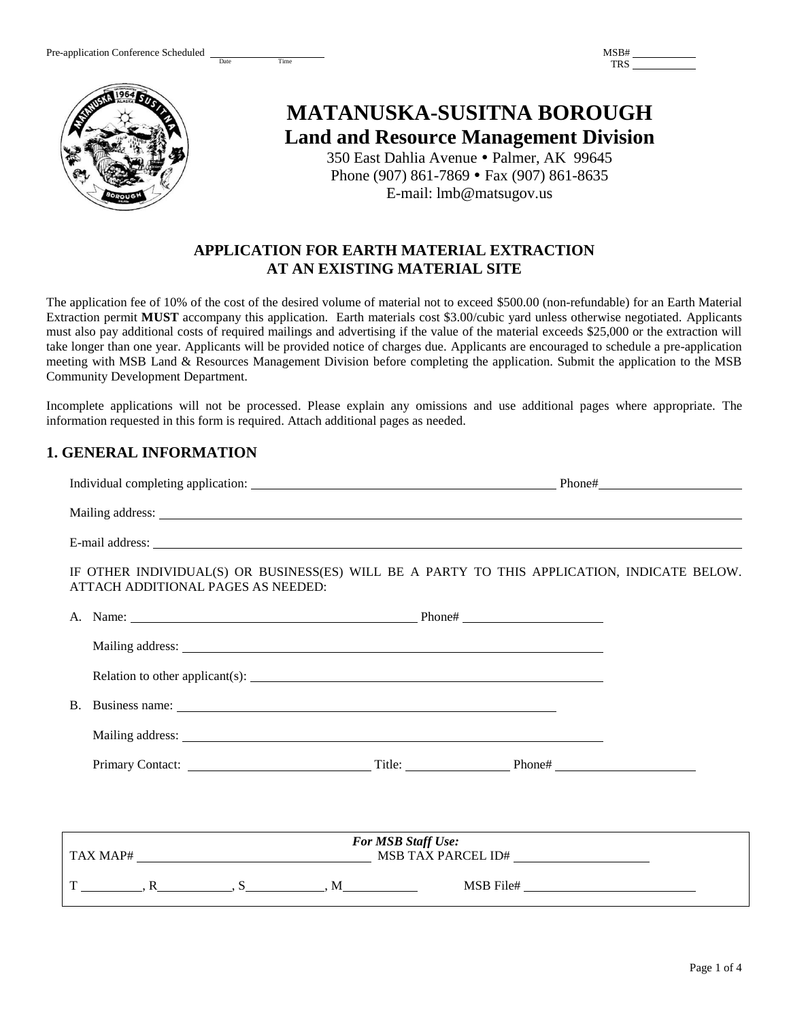Date Time

| MSB# |  |
|------|--|
| אירו |  |



# **MATANUSKA-SUSITNA BOROUGH Land and Resource Management Division**

350 East Dahlia Avenue · Palmer, AK 99645 Phone (907) 861-7869 • Fax (907) 861-8635 E-mail: lmb@matsugov.us

# **APPLICATION FOR EARTH MATERIAL EXTRACTION AT AN EXISTING MATERIAL SITE**

The application fee of 10% of the cost of the desired volume of material not to exceed \$500.00 (non-refundable) for an Earth Material Extraction permit **MUST** accompany this application. Earth materials cost \$3.00/cubic yard unless otherwise negotiated. Applicants must also pay additional costs of required mailings and advertising if the value of the material exceeds \$25,000 or the extraction will take longer than one year. Applicants will be provided notice of charges due. Applicants are encouraged to schedule a pre-application meeting with MSB Land & Resources Management Division before completing the application. Submit the application to the MSB Community Development Department.

Incomplete applications will not be processed. Please explain any omissions and use additional pages where appropriate. The information requested in this form is required. Attach additional pages as needed.

# **1. GENERAL INFORMATION**

| IF OTHER INDIVIDUAL(S) OR BUSINESS(ES) WILL BE A PARTY TO THIS APPLICATION, INDICATE BELOW.<br>ATTACH ADDITIONAL PAGES AS NEEDED:                                                                                              |           |  |  |
|--------------------------------------------------------------------------------------------------------------------------------------------------------------------------------------------------------------------------------|-----------|--|--|
|                                                                                                                                                                                                                                |           |  |  |
|                                                                                                                                                                                                                                |           |  |  |
|                                                                                                                                                                                                                                |           |  |  |
|                                                                                                                                                                                                                                |           |  |  |
| Mailing address: Leading and the contract of the contract of the contract of the contract of the contract of the contract of the contract of the contract of the contract of the contract of the contract of the contract of t |           |  |  |
|                                                                                                                                                                                                                                |           |  |  |
|                                                                                                                                                                                                                                |           |  |  |
|                                                                                                                                                                                                                                |           |  |  |
| <b>For MSB Staff Use:</b>                                                                                                                                                                                                      |           |  |  |
| $T \underline{\hspace{1cm}}, R \underline{\hspace{1cm}}, S \underline{\hspace{1cm}}, M \underline{\hspace{1cm}}$                                                                                                               | MSB File# |  |  |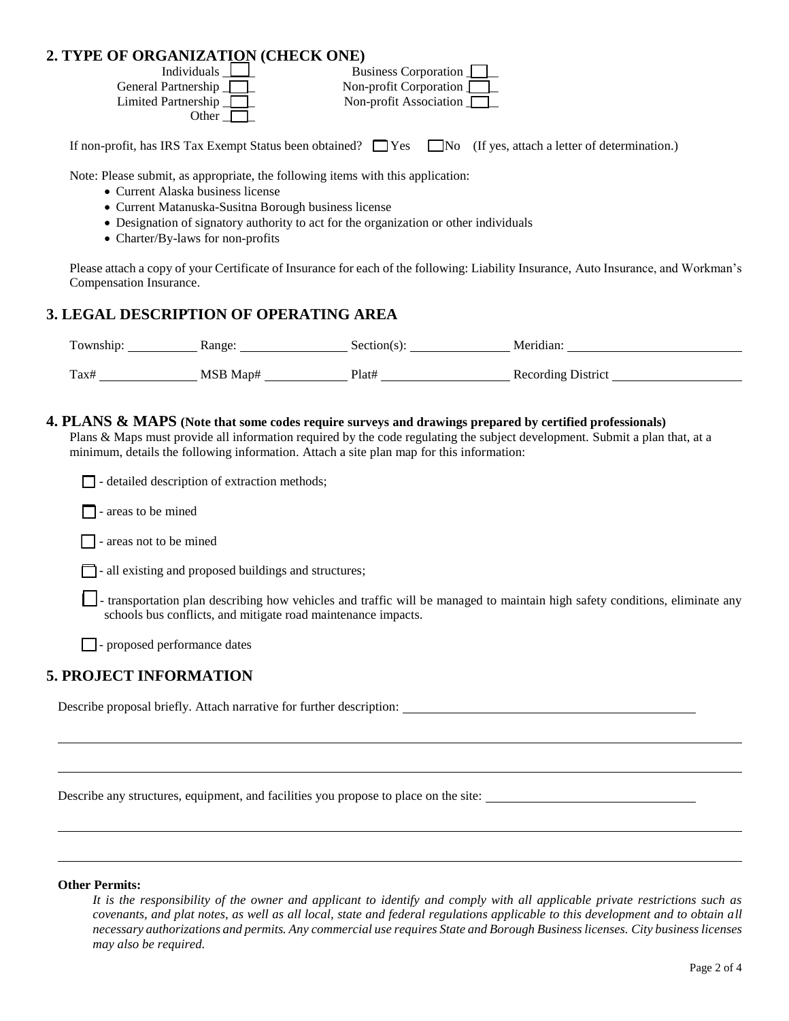## **2. TYPE OF ORGANIZATION (CHECK ONE)**

| Individuals $\Box$         | Business Corporation          |
|----------------------------|-------------------------------|
| General Partnership        | Non-profit Corporation        |
| Limited Partnership $\Box$ | Non-profit Association $\Box$ |
| Other                      |                               |

If non-profit, has IRS Tax Exempt Status been obtained?  $\Box$  Yes  $\Box$  No (If yes, attach a letter of determination.)

Note: Please submit, as appropriate, the following items with this application:

- Current Alaska business license
- Current Matanuska-Susitna Borough business license
- Designation of signatory authority to act for the organization or other individuals
- Charter/By-laws for non-profits

Please attach a copy of your Certificate of Insurance for each of the following: Liability Insurance, Auto Insurance, and Workman's Compensation Insurance.

## **3. LEGAL DESCRIPTION OF OPERATING AREA**

| Township: | Range:   | section(s | Meridian                  |
|-----------|----------|-----------|---------------------------|
| Tax#      | MSB Map# | Plat#     | <b>Recording District</b> |

#### **4. PLANS & MAPS (Note that some codes require surveys and drawings prepared by certified professionals)**

Plans & Maps must provide all information required by the code regulating the subject development. Submit a plan that, at a minimum, details the following information. Attach a site plan map for this information:

 $\Box$  - detailed description of extraction methods;

 $\Box$  - areas to be mined

 $\Box$  - areas not to be mined

- all existing and proposed buildings and structures;

 $\Box$  - transportation plan describing how vehicles and traffic will be managed to maintain high safety conditions, eliminate any schools bus conflicts, and mitigate road maintenance impacts.

 $\Box$  - proposed performance dates

## **5. PROJECT INFORMATION**

Describe proposal briefly. Attach narrative for further description:

Describe any structures, equipment, and facilities you propose to place on the site:

#### **Other Permits:**

*It is the responsibility of the owner and applicant to identify and comply with all applicable private restrictions such as covenants, and plat notes, as well as all local, state and federal regulations applicable to this development and to obtain all necessary authorizations and permits. Any commercial use requires State and Borough Business licenses. City business licenses may also be required.*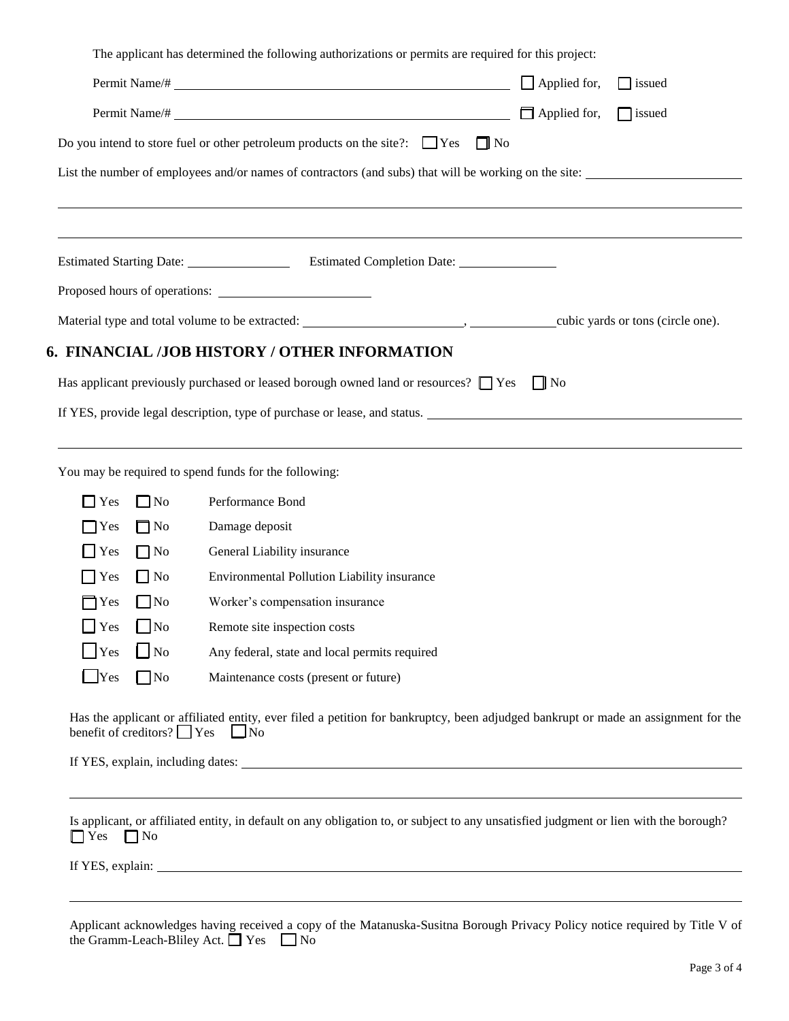|                    |           | The applicant has determined the following authorizations or permits are required for this project:   |                                      |
|--------------------|-----------|-------------------------------------------------------------------------------------------------------|--------------------------------------|
|                    |           | Permit Name/#                                                                                         | $\Box$ Applied for,<br>$\Box$ issued |
|                    |           | $\Box$ issued                                                                                         |                                      |
|                    |           | Do you intend to store fuel or other petroleum products on the site?: $\Box$ Yes $\Box$ No            |                                      |
|                    |           | List the number of employees and/or names of contractors (and subs) that will be working on the site: |                                      |
|                    |           |                                                                                                       |                                      |
|                    |           |                                                                                                       |                                      |
|                    |           |                                                                                                       |                                      |
|                    |           | Proposed hours of operations:                                                                         |                                      |
|                    |           |                                                                                                       |                                      |
|                    |           | 6. FINANCIAL /JOB HISTORY / OTHER INFORMATION                                                         |                                      |
|                    |           | Has applicant previously purchased or leased borough owned land or resources? $\Box$ Yes              | $\prod$ No                           |
|                    |           |                                                                                                       |                                      |
|                    |           | If YES, provide legal description, type of purchase or lease, and status.                             |                                      |
|                    |           |                                                                                                       |                                      |
|                    |           | You may be required to spend funds for the following:                                                 |                                      |
| $\Box$ Yes         | $\Box$ No | Performance Bond                                                                                      |                                      |
| $\Box$ Yes         | $\Box$ No | Damage deposit                                                                                        |                                      |
| $\Box$ Yes         | $\Box$ No | General Liability insurance                                                                           |                                      |
| $\blacksquare$ Yes | $\Box$ No | Environmental Pollution Liability insurance                                                           |                                      |
| $\neg$ Yes         | $\Box$ No | Worker's compensation insurance                                                                       |                                      |

T Yes No Remote site inspection costs

**The Rook Constants Any federal, state and local permits required** 

**The No Maintenance costs (present or future)** 

Has the applicant or affiliated entity, ever filed a petition for bankruptcy, been adjudged bankrupt or made an assignment for the benefit of creditors?  $\Box$  Yes  $\Box$  No

If YES, explain, including dates:

Is applicant, or affiliated entity, in default on any obligation to, or subject to any unsatisfied judgment or lien with the borough?  $\Box$  Yes  $\Box$  No

If YES, explain:

| Applicant acknowledges having received a copy of the Matanuska-Susitna Borough Privacy Policy notice required by Title V of |  |  |  |
|-----------------------------------------------------------------------------------------------------------------------------|--|--|--|
| the Gramm-Leach-Bliley Act. $\Box$ Yes $\Box$ No                                                                            |  |  |  |